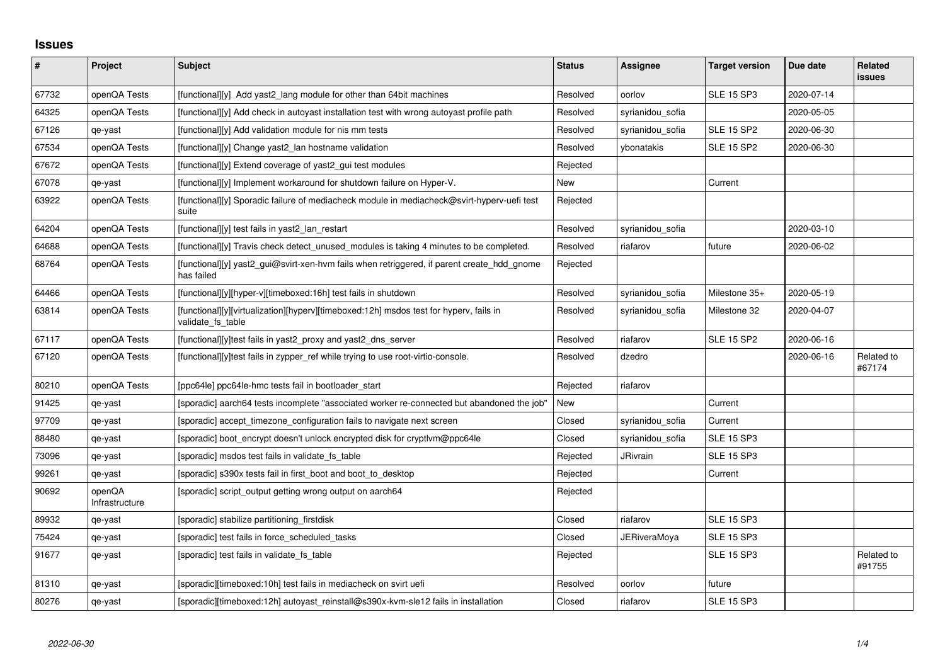## **Issues**

| $\sharp$ | Project                  | <b>Subject</b>                                                                                              | <b>Status</b> | Assignee            | <b>Target version</b> | Due date   | Related<br><b>issues</b> |
|----------|--------------------------|-------------------------------------------------------------------------------------------------------------|---------------|---------------------|-----------------------|------------|--------------------------|
| 67732    | openQA Tests             | [functional][y] Add yast2 lang module for other than 64bit machines                                         | Resolved      | oorlov              | <b>SLE 15 SP3</b>     | 2020-07-14 |                          |
| 64325    | openQA Tests             | [functional][y] Add check in autoyast installation test with wrong autoyast profile path                    | Resolved      | syrianidou_sofia    |                       | 2020-05-05 |                          |
| 67126    | qe-yast                  | [functional][y] Add validation module for nis mm tests                                                      | Resolved      | syrianidou_sofia    | <b>SLE 15 SP2</b>     | 2020-06-30 |                          |
| 67534    | openQA Tests             | [functional][y] Change yast2 lan hostname validation                                                        | Resolved      | ybonatakis          | <b>SLE 15 SP2</b>     | 2020-06-30 |                          |
| 67672    | openQA Tests             | [functional][y] Extend coverage of yast2_gui test modules                                                   | Rejected      |                     |                       |            |                          |
| 67078    | qe-yast                  | [functional][y] Implement workaround for shutdown failure on Hyper-V.                                       | New           |                     | Current               |            |                          |
| 63922    | openQA Tests             | [functional][y] Sporadic failure of mediacheck module in mediacheck@svirt-hyperv-uefi test<br>suite         | Rejected      |                     |                       |            |                          |
| 64204    | openQA Tests             | [functional][y] test fails in yast2_lan_restart                                                             | Resolved      | syrianidou_sofia    |                       | 2020-03-10 |                          |
| 64688    | openQA Tests             | [functional][y] Travis check detect_unused_modules is taking 4 minutes to be completed.                     | Resolved      | riafarov            | future                | 2020-06-02 |                          |
| 68764    | openQA Tests             | [functional][y] yast2_gui@svirt-xen-hvm fails when retriggered, if parent create_hdd_gnome<br>has failed    | Rejected      |                     |                       |            |                          |
| 64466    | openQA Tests             | [functional][y][hyper-v][timeboxed:16h] test fails in shutdown                                              | Resolved      | syrianidou_sofia    | Milestone 35+         | 2020-05-19 |                          |
| 63814    | openQA Tests             | [functional][y][virtualization][hyperv][timeboxed:12h] msdos test for hyperv, fails in<br>validate fs table | Resolved      | syrianidou sofia    | Milestone 32          | 2020-04-07 |                          |
| 67117    | openQA Tests             | [functional][y]test fails in yast2 proxy and yast2 dns server                                               | Resolved      | riafarov            | <b>SLE 15 SP2</b>     | 2020-06-16 |                          |
| 67120    | openQA Tests             | [functional][y]test fails in zypper_ref while trying to use root-virtio-console.                            | Resolved      | dzedro              |                       | 2020-06-16 | Related to<br>#67174     |
| 80210    | openQA Tests             | [ppc64le] ppc64le-hmc tests fail in bootloader_start                                                        | Rejected      | riafarov            |                       |            |                          |
| 91425    | qe-yast                  | [sporadic] aarch64 tests incomplete "associated worker re-connected but abandoned the job"                  | New           |                     | Current               |            |                          |
| 97709    | qe-yast                  | [sporadic] accept_timezone_configuration fails to navigate next screen                                      | Closed        | syrianidou_sofia    | Current               |            |                          |
| 88480    | qe-yast                  | [sporadic] boot encrypt doesn't unlock encrypted disk for cryptlym@ppc64le                                  | Closed        | syrianidou sofia    | <b>SLE 15 SP3</b>     |            |                          |
| 73096    | qe-yast                  | [sporadic] msdos test fails in validate_fs_table                                                            | Rejected      | <b>JRivrain</b>     | <b>SLE 15 SP3</b>     |            |                          |
| 99261    | qe-yast                  | [sporadic] s390x tests fail in first_boot and boot_to_desktop                                               | Rejected      |                     | Current               |            |                          |
| 90692    | openQA<br>Infrastructure | [sporadic] script_output getting wrong output on aarch64                                                    | Rejected      |                     |                       |            |                          |
| 89932    | qe-yast                  | [sporadic] stabilize partitioning_firstdisk                                                                 | Closed        | riafarov            | <b>SLE 15 SP3</b>     |            |                          |
| 75424    | qe-yast                  | [sporadic] test fails in force_scheduled_tasks                                                              | Closed        | <b>JERiveraMoya</b> | <b>SLE 15 SP3</b>     |            |                          |
| 91677    | qe-yast                  | [sporadic] test fails in validate_fs_table                                                                  | Rejected      |                     | <b>SLE 15 SP3</b>     |            | Related to<br>#91755     |
| 81310    | qe-yast                  | [sporadic][timeboxed:10h] test fails in mediacheck on svirt uefi                                            | Resolved      | oorlov              | future                |            |                          |
| 80276    | qe-yast                  | [sporadic][timeboxed:12h] autoyast reinstall@s390x-kvm-sle12 fails in installation                          | Closed        | riafarov            | <b>SLE 15 SP3</b>     |            |                          |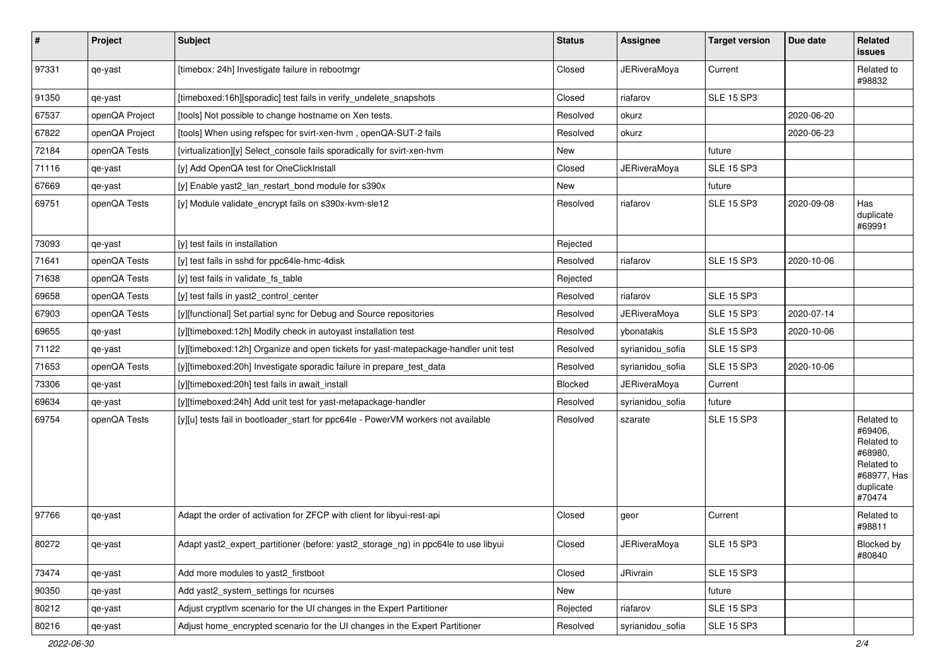| $\vert$ # | Project        | Subject                                                                             | <b>Status</b> | Assignee            | <b>Target version</b> | Due date   | Related<br>issues                                                                                  |
|-----------|----------------|-------------------------------------------------------------------------------------|---------------|---------------------|-----------------------|------------|----------------------------------------------------------------------------------------------------|
| 97331     | qe-yast        | [timebox: 24h] Investigate failure in rebootmgr                                     | Closed        | <b>JERiveraMoya</b> | Current               |            | Related to<br>#98832                                                                               |
| 91350     | qe-yast        | [timeboxed:16h][sporadic] test fails in verify_undelete_snapshots                   | Closed        | riafarov            | <b>SLE 15 SP3</b>     |            |                                                                                                    |
| 67537     | openQA Project | [tools] Not possible to change hostname on Xen tests.                               | Resolved      | okurz               |                       | 2020-06-20 |                                                                                                    |
| 67822     | openQA Project | [tools] When using refspec for svirt-xen-hvm, openQA-SUT-2 fails                    | Resolved      | okurz               |                       | 2020-06-23 |                                                                                                    |
| 72184     | openQA Tests   | [virtualization][y] Select console fails sporadically for svirt-xen-hvm             | New           |                     | future                |            |                                                                                                    |
| 71116     | qe-yast        | [y] Add OpenQA test for OneClickInstall                                             | Closed        | <b>JERiveraMoya</b> | SLE 15 SP3            |            |                                                                                                    |
| 67669     | qe-yast        | [y] Enable yast2_lan_restart_bond module for s390x                                  | New           |                     | future                |            |                                                                                                    |
| 69751     | openQA Tests   | [y] Module validate_encrypt fails on s390x-kvm-sle12                                | Resolved      | riafarov            | <b>SLE 15 SP3</b>     | 2020-09-08 | Has<br>duplicate<br>#69991                                                                         |
| 73093     | qe-yast        | [y] test fails in installation                                                      | Rejected      |                     |                       |            |                                                                                                    |
| 71641     | openQA Tests   | [y] test fails in sshd for ppc64le-hmc-4disk                                        | Resolved      | riafarov            | <b>SLE 15 SP3</b>     | 2020-10-06 |                                                                                                    |
| 71638     | openQA Tests   | [y] test fails in validate fs table                                                 | Rejected      |                     |                       |            |                                                                                                    |
| 69658     | openQA Tests   | [y] test fails in yast2_control_center                                              | Resolved      | riafarov            | <b>SLE 15 SP3</b>     |            |                                                                                                    |
| 67903     | openQA Tests   | [y][functional] Set partial sync for Debug and Source repositories                  | Resolved      | <b>JERiveraMoya</b> | <b>SLE 15 SP3</b>     | 2020-07-14 |                                                                                                    |
| 69655     | qe-yast        | [y][timeboxed:12h] Modify check in autoyast installation test                       | Resolved      | ybonatakis          | <b>SLE 15 SP3</b>     | 2020-10-06 |                                                                                                    |
| 71122     | qe-yast        | [y][timeboxed:12h] Organize and open tickets for yast-matepackage-handler unit test | Resolved      | syrianidou_sofia    | <b>SLE 15 SP3</b>     |            |                                                                                                    |
| 71653     | openQA Tests   | [y][timeboxed:20h] Investigate sporadic failure in prepare_test_data                | Resolved      | syrianidou sofia    | <b>SLE 15 SP3</b>     | 2020-10-06 |                                                                                                    |
| 73306     | qe-yast        | [y][timeboxed:20h] test fails in await_install                                      | Blocked       | <b>JERiveraMoya</b> | Current               |            |                                                                                                    |
| 69634     | qe-yast        | [y][timeboxed:24h] Add unit test for yast-metapackage-handler                       | Resolved      | syrianidou_sofia    | future                |            |                                                                                                    |
| 69754     | openQA Tests   | [y][u] tests fail in bootloader_start for ppc64le - PowerVM workers not available   | Resolved      | szarate             | <b>SLE 15 SP3</b>     |            | Related to<br>#69406.<br>Related to<br>#68980,<br>Related to<br>#68977, Has<br>duplicate<br>#70474 |
| 97766     | qe-yast        | Adapt the order of activation for ZFCP with client for libyui-rest-api              | Closed        | geor                | Current               |            | Related to<br>#98811                                                                               |
| 80272     | qe-yast        | Adapt yast2_expert_partitioner (before: yast2_storage_ng) in ppc64le to use libyui  | Closed        | <b>JERiveraMoya</b> | <b>SLE 15 SP3</b>     |            | Blocked by<br>#80840                                                                               |
| 73474     | qe-yast        | Add more modules to yast2_firstboot                                                 | Closed        | JRivrain            | <b>SLE 15 SP3</b>     |            |                                                                                                    |
| 90350     | qe-yast        | Add yast2 system settings for ncurses                                               | New           |                     | future                |            |                                                                                                    |
| 80212     | qe-yast        | Adjust cryptlvm scenario for the UI changes in the Expert Partitioner               | Rejected      | riafarov            | <b>SLE 15 SP3</b>     |            |                                                                                                    |
| 80216     | qe-yast        | Adjust home_encrypted scenario for the UI changes in the Expert Partitioner         | Resolved      | syrianidou_sofia    | <b>SLE 15 SP3</b>     |            |                                                                                                    |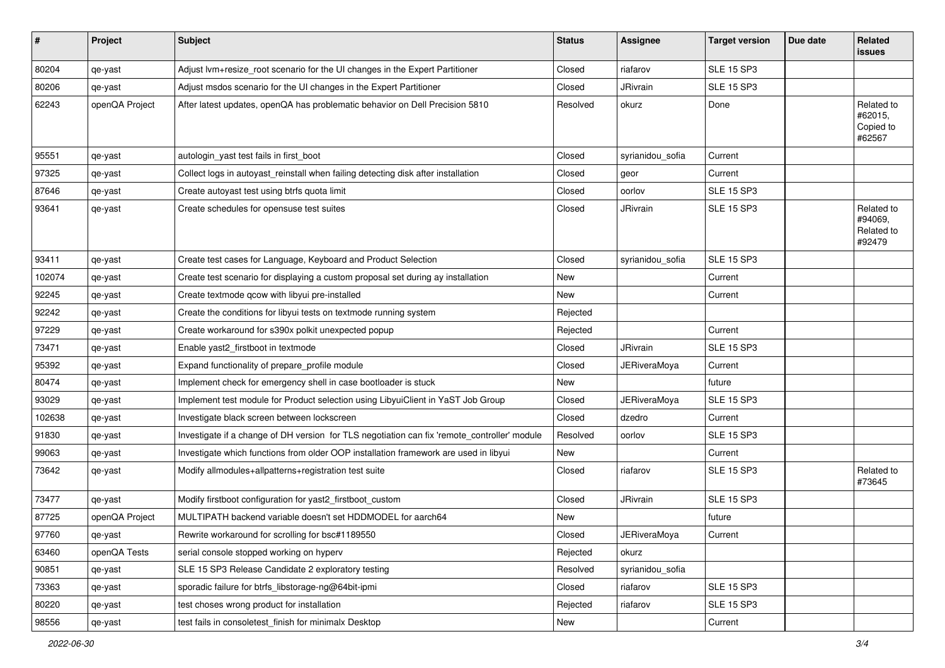| #      | Project        | <b>Subject</b>                                                                               | <b>Status</b> | Assignee            | <b>Target version</b> | Due date | Related<br>issues                             |
|--------|----------------|----------------------------------------------------------------------------------------------|---------------|---------------------|-----------------------|----------|-----------------------------------------------|
| 80204  | qe-yast        | Adjust lvm+resize_root scenario for the UI changes in the Expert Partitioner                 | Closed        | riafarov            | <b>SLE 15 SP3</b>     |          |                                               |
| 80206  | qe-yast        | Adjust msdos scenario for the UI changes in the Expert Partitioner                           | Closed        | JRivrain            | <b>SLE 15 SP3</b>     |          |                                               |
| 62243  | openQA Project | After latest updates, openQA has problematic behavior on Dell Precision 5810                 | Resolved      | okurz               | Done                  |          | Related to<br>#62015,<br>Copied to<br>#62567  |
| 95551  | qe-yast        | autologin_yast test fails in first_boot                                                      | Closed        | syrianidou_sofia    | Current               |          |                                               |
| 97325  | qe-yast        | Collect logs in autoyast_reinstall when failing detecting disk after installation            | Closed        | geor                | Current               |          |                                               |
| 87646  | qe-yast        | Create autoyast test using btrfs quota limit                                                 | Closed        | oorlov              | <b>SLE 15 SP3</b>     |          |                                               |
| 93641  | qe-yast        | Create schedules for opensuse test suites                                                    | Closed        | JRivrain            | <b>SLE 15 SP3</b>     |          | Related to<br>#94069,<br>Related to<br>#92479 |
| 93411  | qe-yast        | Create test cases for Language, Keyboard and Product Selection                               | Closed        | syrianidou_sofia    | <b>SLE 15 SP3</b>     |          |                                               |
| 102074 | qe-yast        | Create test scenario for displaying a custom proposal set during ay installation             | New           |                     | Current               |          |                                               |
| 92245  | qe-yast        | Create textmode qcow with libyui pre-installed                                               | New           |                     | Current               |          |                                               |
| 92242  | qe-yast        | Create the conditions for libyui tests on textmode running system                            | Rejected      |                     |                       |          |                                               |
| 97229  | qe-yast        | Create workaround for s390x polkit unexpected popup                                          | Rejected      |                     | Current               |          |                                               |
| 73471  | qe-yast        | Enable yast2_firstboot in textmode                                                           | Closed        | JRivrain            | <b>SLE 15 SP3</b>     |          |                                               |
| 95392  | qe-yast        | Expand functionality of prepare_profile module                                               | Closed        | <b>JERiveraMoya</b> | Current               |          |                                               |
| 80474  | qe-yast        | Implement check for emergency shell in case bootloader is stuck                              | New           |                     | future                |          |                                               |
| 93029  | qe-yast        | Implement test module for Product selection using LibyuiClient in YaST Job Group             | Closed        | <b>JERiveraMoya</b> | <b>SLE 15 SP3</b>     |          |                                               |
| 102638 | qe-yast        | Investigate black screen between lockscreen                                                  | Closed        | dzedro              | Current               |          |                                               |
| 91830  | qe-yast        | Investigate if a change of DH version for TLS negotiation can fix 'remote_controller' module | Resolved      | oorlov              | <b>SLE 15 SP3</b>     |          |                                               |
| 99063  | qe-yast        | Investigate which functions from older OOP installation framework are used in libyui         | New           |                     | Current               |          |                                               |
| 73642  | qe-yast        | Modify allmodules+allpatterns+registration test suite                                        | Closed        | riafarov            | <b>SLE 15 SP3</b>     |          | Related to<br>#73645                          |
| 73477  | qe-yast        | Modify firstboot configuration for yast2_firstboot_custom                                    | Closed        | JRivrain            | <b>SLE 15 SP3</b>     |          |                                               |
| 87725  | openQA Project | MULTIPATH backend variable doesn't set HDDMODEL for aarch64                                  | New           |                     | future                |          |                                               |
| 97760  | qe-yast        | Rewrite workaround for scrolling for bsc#1189550                                             | Closed        | <b>JERiveraMoya</b> | Current               |          |                                               |
| 63460  | openQA Tests   | serial console stopped working on hyperv                                                     | Rejected      | okurz               |                       |          |                                               |
| 90851  | qe-yast        | SLE 15 SP3 Release Candidate 2 exploratory testing                                           | Resolved      | syrianidou_sofia    |                       |          |                                               |
| 73363  | qe-yast        | sporadic failure for btrfs libstorage-ng@64bit-ipmi                                          | Closed        | riafarov            | <b>SLE 15 SP3</b>     |          |                                               |
| 80220  | qe-yast        | test choses wrong product for installation                                                   | Rejected      | riafarov            | <b>SLE 15 SP3</b>     |          |                                               |
| 98556  | qe-yast        | test fails in consoletest_finish for minimalx Desktop                                        | New           |                     | Current               |          |                                               |